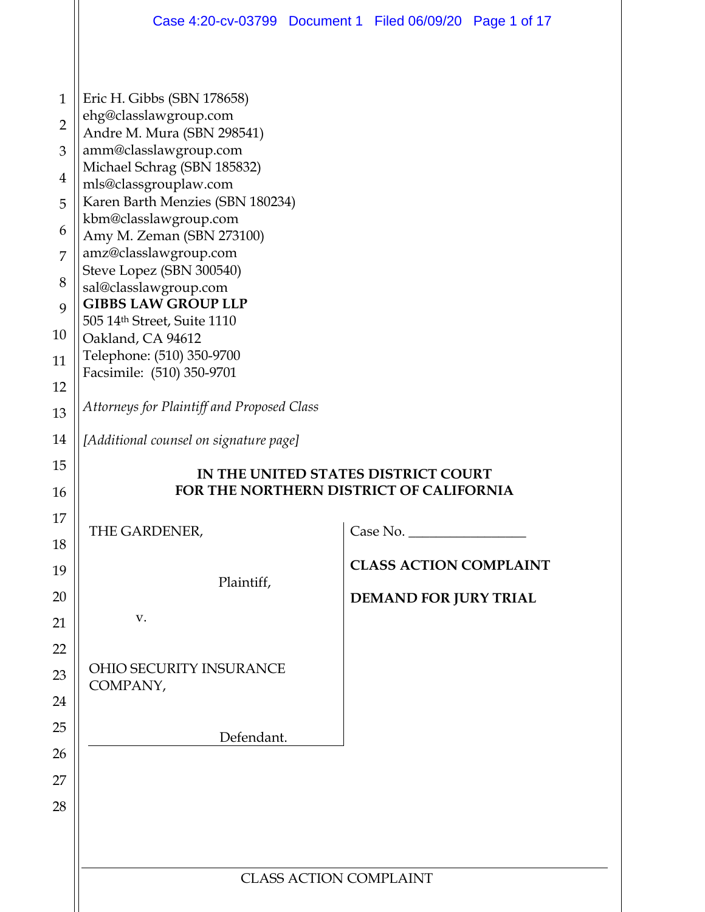|                | Case 4:20-cv-03799 Document 1 Filed 06/09/20 Page 1 of 17                      |                               |                               |  |  |  |  |  |  |
|----------------|--------------------------------------------------------------------------------|-------------------------------|-------------------------------|--|--|--|--|--|--|
|                |                                                                                |                               |                               |  |  |  |  |  |  |
| $\mathbf{1}$   | Eric H. Gibbs (SBN 178658)                                                     |                               |                               |  |  |  |  |  |  |
| $\overline{2}$ | ehg@classlawgroup.com<br>Andre M. Mura (SBN 298541)                            |                               |                               |  |  |  |  |  |  |
| 3              | amm@classlawgroup.com                                                          |                               |                               |  |  |  |  |  |  |
| $\overline{4}$ | Michael Schrag (SBN 185832)<br>mls@classgrouplaw.com                           |                               |                               |  |  |  |  |  |  |
| 5              | Karen Barth Menzies (SBN 180234)<br>kbm@classlawgroup.com                      |                               |                               |  |  |  |  |  |  |
| 6              | Amy M. Zeman (SBN 273100)                                                      |                               |                               |  |  |  |  |  |  |
| 7              | amz@classlawgroup.com<br>Steve Lopez (SBN 300540)                              |                               |                               |  |  |  |  |  |  |
| 8              | sal@classlawgroup.com                                                          |                               |                               |  |  |  |  |  |  |
| 9              | <b>GIBBS LAW GROUP LLP</b><br>505 14th Street, Suite 1110                      |                               |                               |  |  |  |  |  |  |
| 10             | Oakland, CA 94612<br>Telephone: (510) 350-9700                                 |                               |                               |  |  |  |  |  |  |
| 11             | Facsimile: (510) 350-9701                                                      |                               |                               |  |  |  |  |  |  |
| 12             | Attorneys for Plaintiff and Proposed Class                                     |                               |                               |  |  |  |  |  |  |
| 13<br>14       |                                                                                |                               |                               |  |  |  |  |  |  |
| 15             | [Additional counsel on signature page]                                         |                               |                               |  |  |  |  |  |  |
|                | IN THE UNITED STATES DISTRICT COURT<br>FOR THE NORTHERN DISTRICT OF CALIFORNIA |                               |                               |  |  |  |  |  |  |
|                |                                                                                |                               |                               |  |  |  |  |  |  |
| 16             |                                                                                |                               |                               |  |  |  |  |  |  |
| 17             | THE GARDENER,                                                                  |                               | Case No.                      |  |  |  |  |  |  |
| 18<br>19       |                                                                                |                               | <b>CLASS ACTION COMPLAINT</b> |  |  |  |  |  |  |
| 20             | Plaintiff,                                                                     |                               |                               |  |  |  |  |  |  |
| 21             | V.                                                                             |                               | DEMAND FOR JURY TRIAL         |  |  |  |  |  |  |
| 22             |                                                                                |                               |                               |  |  |  |  |  |  |
| 23             | <b>OHIO SECURITY INSURANCE</b>                                                 |                               |                               |  |  |  |  |  |  |
| 24             | COMPANY,                                                                       |                               |                               |  |  |  |  |  |  |
| 25             |                                                                                |                               |                               |  |  |  |  |  |  |
| 26             | Defendant.                                                                     |                               |                               |  |  |  |  |  |  |
| 27             |                                                                                |                               |                               |  |  |  |  |  |  |
| 28             |                                                                                |                               |                               |  |  |  |  |  |  |
|                |                                                                                |                               |                               |  |  |  |  |  |  |
|                |                                                                                | <b>CLASS ACTION COMPLAINT</b> |                               |  |  |  |  |  |  |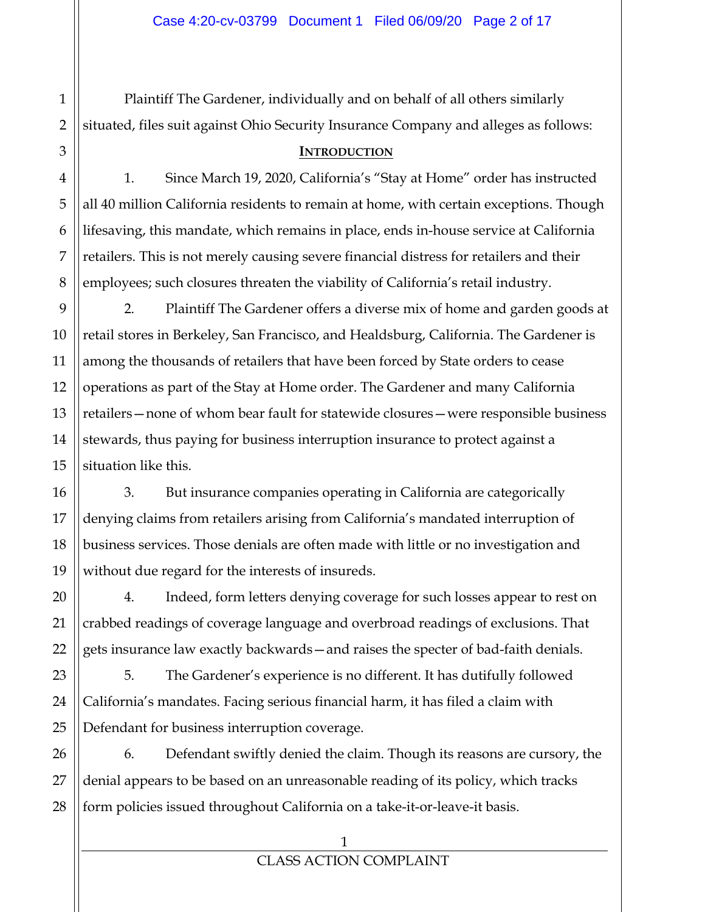Plaintiff The Gardener, individually and on behalf of all others similarly situated, files suit against Ohio Security Insurance Company and alleges as follows:

#### **INTRODUCTION**

1. Since March 19, 2020, California's "Stay at Home" order has instructed all 40 million California residents to remain at home, with certain exceptions. Though lifesaving, this mandate, which remains in place, ends in-house service at California retailers. This is not merely causing severe financial distress for retailers and their employees; such closures threaten the viability of California's retail industry.

2. Plaintiff The Gardener offers a diverse mix of home and garden goods at retail stores in Berkeley, San Francisco, and Healdsburg, California. The Gardener is among the thousands of retailers that have been forced by State orders to cease operations as part of the Stay at Home order. The Gardener and many California retailers—none of whom bear fault for statewide closures—were responsible business stewards, thus paying for business interruption insurance to protect against a situation like this.

3. But insurance companies operating in California are categorically denying claims from retailers arising from California's mandated interruption of business services. Those denials are often made with little or no investigation and without due regard for the interests of insureds.

4. Indeed, form letters denying coverage for such losses appear to rest on crabbed readings of coverage language and overbroad readings of exclusions. That gets insurance law exactly backwards—and raises the specter of bad-faith denials.

5. The Gardener's experience is no different. It has dutifully followed California's mandates. Facing serious financial harm, it has filed a claim with Defendant for business interruption coverage.

6. Defendant swiftly denied the claim. Though its reasons are cursory, the denial appears to be based on an unreasonable reading of its policy, which tracks form policies issued throughout California on a take-it-or-leave-it basis.

1

2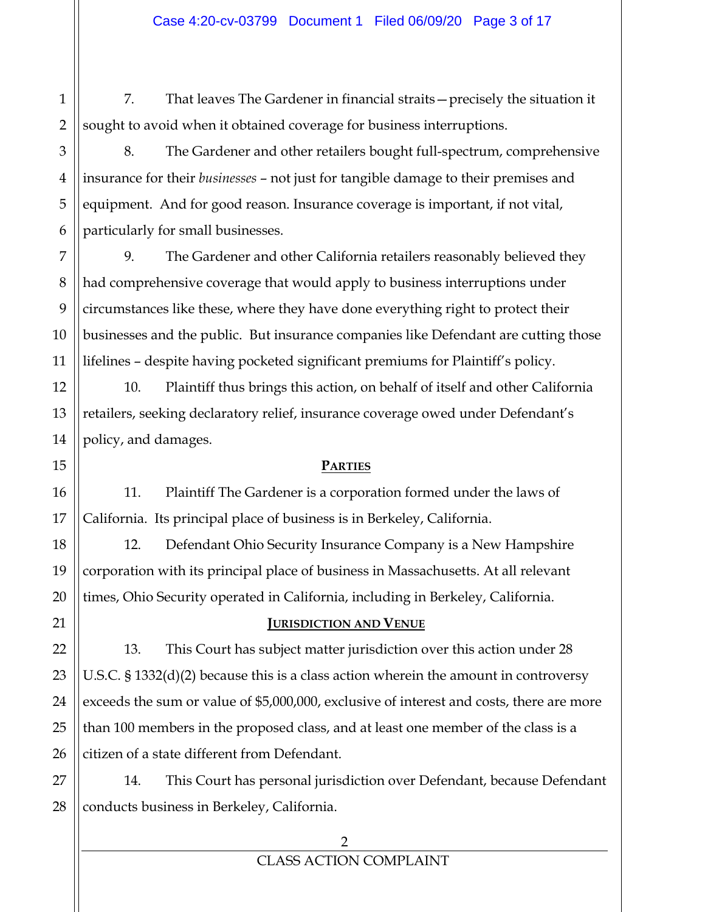7. That leaves The Gardener in financial straits—precisely the situation it sought to avoid when it obtained coverage for business interruptions.

8. The Gardener and other retailers bought full-spectrum, comprehensive insurance for their *businesses* – not just for tangible damage to their premises and equipment. And for good reason. Insurance coverage is important, if not vital, particularly for small businesses.

9. The Gardener and other California retailers reasonably believed they had comprehensive coverage that would apply to business interruptions under circumstances like these, where they have done everything right to protect their businesses and the public. But insurance companies like Defendant are cutting those lifelines – despite having pocketed significant premiums for Plaintiff's policy.

10. Plaintiff thus brings this action, on behalf of itself and other California retailers, seeking declaratory relief, insurance coverage owed under Defendant's policy, and damages.

#### **PARTIES**

11. Plaintiff The Gardener is a corporation formed under the laws of California. Its principal place of business is in Berkeley, California.

12. Defendant Ohio Security Insurance Company is a New Hampshire corporation with its principal place of business in Massachusetts. At all relevant times, Ohio Security operated in California, including in Berkeley, California.

## **JURISDICTION AND VENUE**

13. This Court has subject matter jurisdiction over this action under 28 U.S.C. § 1332(d)(2) because this is a class action wherein the amount in controversy exceeds the sum or value of \$5,000,000, exclusive of interest and costs, there are more than 100 members in the proposed class, and at least one member of the class is a citizen of a state different from Defendant.

14. This Court has personal jurisdiction over Defendant, because Defendant conducts business in Berkeley, California.

1

2

3

4

5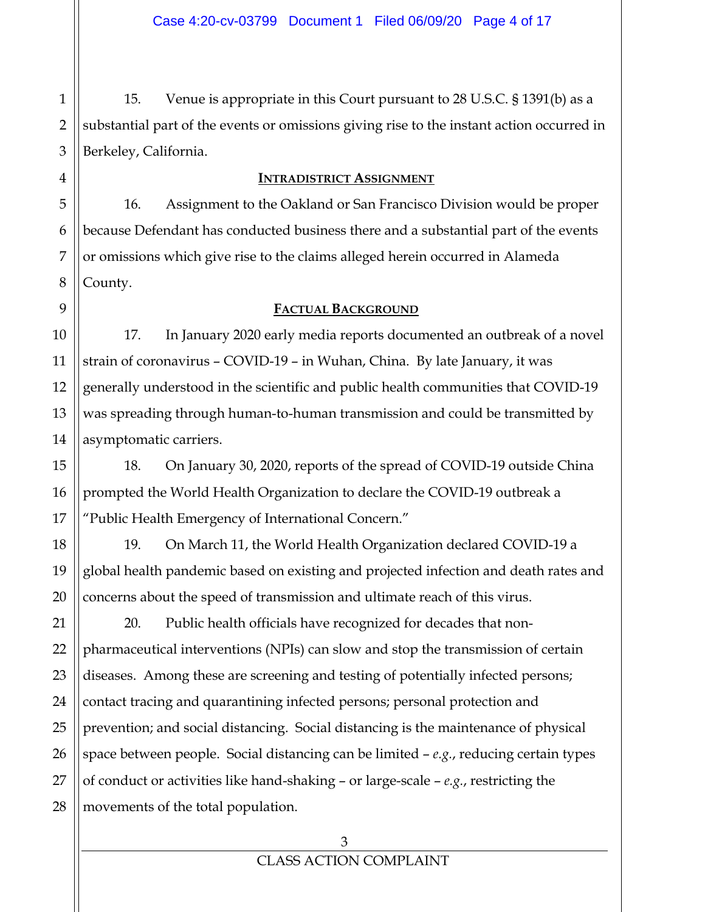15. Venue is appropriate in this Court pursuant to 28 U.S.C. § 1391(b) as a substantial part of the events or omissions giving rise to the instant action occurred in Berkeley, California.

#### **INTRADISTRICT ASSIGNMENT**

16. Assignment to the Oakland or San Francisco Division would be proper because Defendant has conducted business there and a substantial part of the events or omissions which give rise to the claims alleged herein occurred in Alameda County.

#### **FACTUAL BACKGROUND**

17. In January 2020 early media reports documented an outbreak of a novel strain of coronavirus – COVID-19 – in Wuhan, China. By late January, it was generally understood in the scientific and public health communities that COVID-19 was spreading through human-to-human transmission and could be transmitted by asymptomatic carriers.

18. On January 30, 2020, reports of the spread of COVID-19 outside China prompted the World Health Organization to declare the COVID-19 outbreak a "Public Health Emergency of International Concern."

19. On March 11, the World Health Organization declared COVID-19 a global health pandemic based on existing and projected infection and death rates and concerns about the speed of transmission and ultimate reach of this virus.

20. Public health officials have recognized for decades that nonpharmaceutical interventions (NPIs) can slow and stop the transmission of certain diseases. Among these are screening and testing of potentially infected persons; contact tracing and quarantining infected persons; personal protection and prevention; and social distancing. Social distancing is the maintenance of physical space between people. Social distancing can be limited – *e.g.*, reducing certain types of conduct or activities like hand-shaking – or large-scale – *e.g.*, restricting the movements of the total population.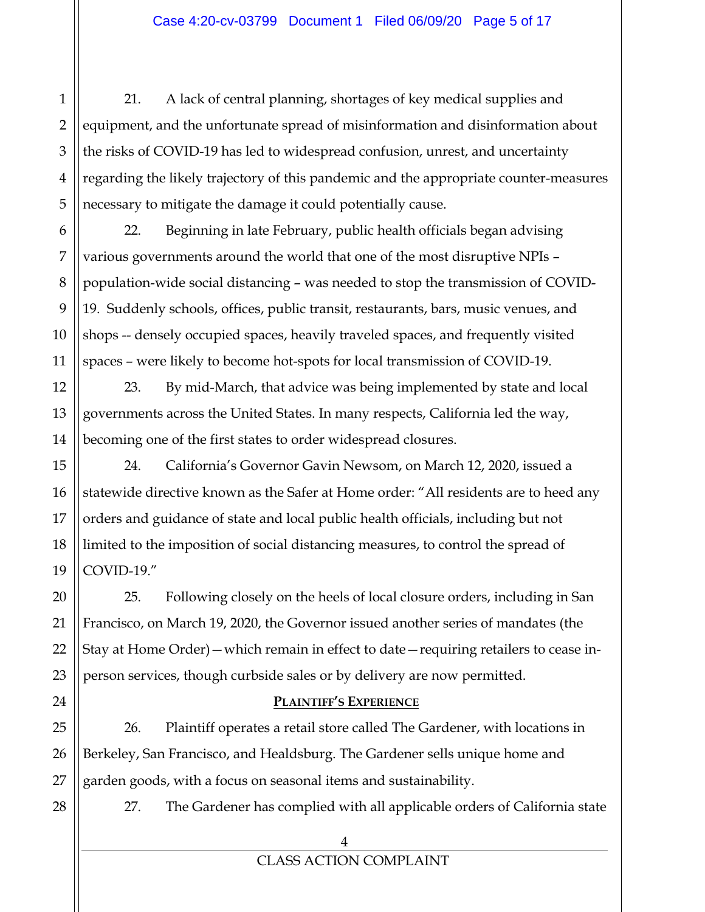21. A lack of central planning, shortages of key medical supplies and equipment, and the unfortunate spread of misinformation and disinformation about the risks of COVID-19 has led to widespread confusion, unrest, and uncertainty regarding the likely trajectory of this pandemic and the appropriate counter-measures necessary to mitigate the damage it could potentially cause.

22. Beginning in late February, public health officials began advising various governments around the world that one of the most disruptive NPIs – population-wide social distancing – was needed to stop the transmission of COVID-19. Suddenly schools, offices, public transit, restaurants, bars, music venues, and shops -- densely occupied spaces, heavily traveled spaces, and frequently visited spaces – were likely to become hot-spots for local transmission of COVID-19.

23. By mid-March, that advice was being implemented by state and local governments across the United States. In many respects, California led the way, becoming one of the first states to order widespread closures.

24. California's Governor Gavin Newsom, on March 12, 2020, issued a statewide directive known as the Safer at Home order: "All residents are to heed any orders and guidance of state and local public health officials, including but not limited to the imposition of social distancing measures, to control the spread of COVID-19."

25. Following closely on the heels of local closure orders, including in San Francisco, on March 19, 2020, the Governor issued another series of mandates (the Stay at Home Order)—which remain in effect to date—requiring retailers to cease inperson services, though curbside sales or by delivery are now permitted.

## **PLAINTIFF'S EXPERIENCE**

26. Plaintiff operates a retail store called The Gardener, with locations in Berkeley, San Francisco, and Healdsburg. The Gardener sells unique home and garden goods, with a focus on seasonal items and sustainability.

27. The Gardener has complied with all applicable orders of California state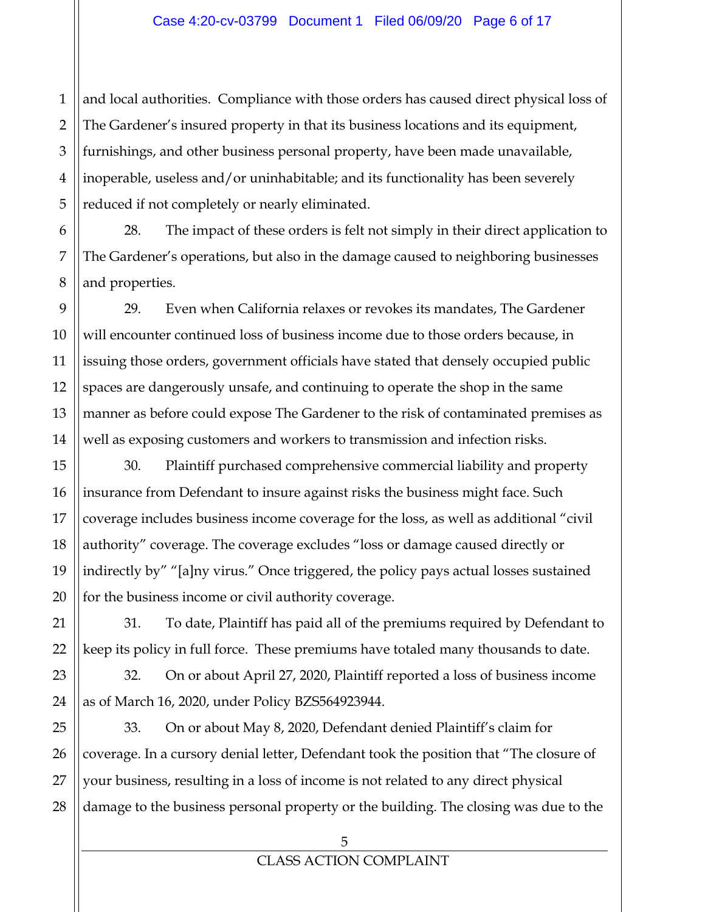1 and local authorities. Compliance with those orders has caused direct physical loss of The Gardener's insured property in that its business locations and its equipment, furnishings, and other business personal property, have been made unavailable, inoperable, useless and/or uninhabitable; and its functionality has been severely reduced if not completely or nearly eliminated.

28. The impact of these orders is felt not simply in their direct application to The Gardener's operations, but also in the damage caused to neighboring businesses and properties.

29. Even when California relaxes or revokes its mandates, The Gardener will encounter continued loss of business income due to those orders because, in issuing those orders, government officials have stated that densely occupied public spaces are dangerously unsafe, and continuing to operate the shop in the same manner as before could expose The Gardener to the risk of contaminated premises as well as exposing customers and workers to transmission and infection risks.

30. Plaintiff purchased comprehensive commercial liability and property insurance from Defendant to insure against risks the business might face. Such coverage includes business income coverage for the loss, as well as additional "civil authority" coverage. The coverage excludes "loss or damage caused directly or indirectly by" "[a]ny virus." Once triggered, the policy pays actual losses sustained for the business income or civil authority coverage.

31. To date, Plaintiff has paid all of the premiums required by Defendant to keep its policy in full force. These premiums have totaled many thousands to date.

32. On or about April 27, 2020, Plaintiff reported a loss of business income as of March 16, 2020, under Policy BZS564923944.

33. On or about May 8, 2020, Defendant denied Plaintiff's claim for coverage. In a cursory denial letter, Defendant took the position that "The closure of your business, resulting in a loss of income is not related to any direct physical damage to the business personal property or the building. The closing was due to the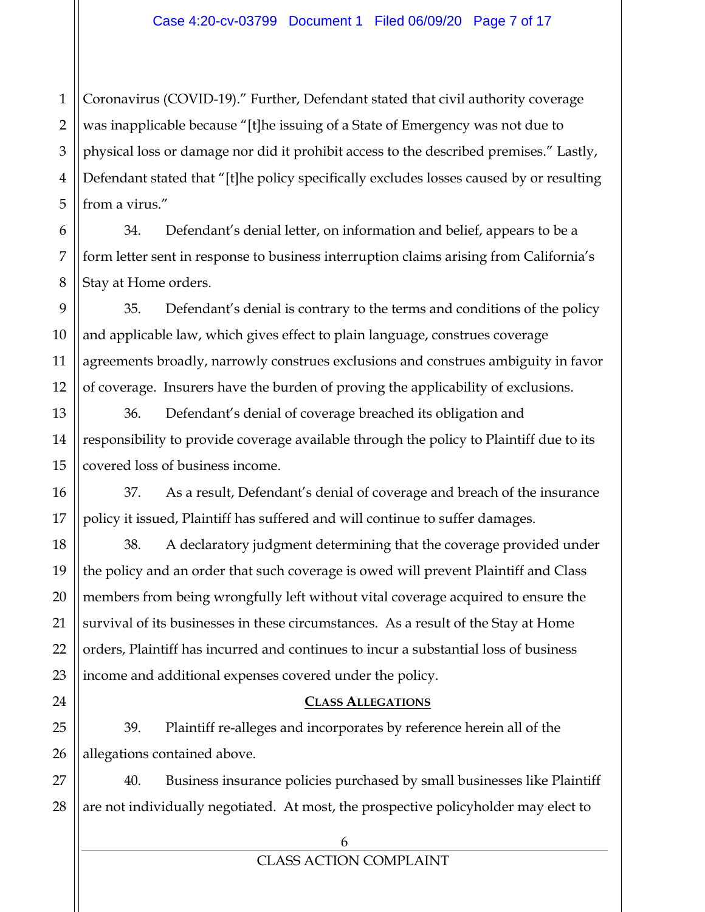1 2 3 4 5 Coronavirus (COVID-19)." Further, Defendant stated that civil authority coverage was inapplicable because "[t]he issuing of a State of Emergency was not due to physical loss or damage nor did it prohibit access to the described premises." Lastly, Defendant stated that "[t]he policy specifically excludes losses caused by or resulting from a virus."

34. Defendant's denial letter, on information and belief, appears to be a form letter sent in response to business interruption claims arising from California's Stay at Home orders.

35. Defendant's denial is contrary to the terms and conditions of the policy and applicable law, which gives effect to plain language, construes coverage agreements broadly, narrowly construes exclusions and construes ambiguity in favor of coverage. Insurers have the burden of proving the applicability of exclusions.

36. Defendant's denial of coverage breached its obligation and responsibility to provide coverage available through the policy to Plaintiff due to its covered loss of business income.

37. As a result, Defendant's denial of coverage and breach of the insurance policy it issued, Plaintiff has suffered and will continue to suffer damages.

38. A declaratory judgment determining that the coverage provided under the policy and an order that such coverage is owed will prevent Plaintiff and Class members from being wrongfully left without vital coverage acquired to ensure the survival of its businesses in these circumstances. As a result of the Stay at Home orders, Plaintiff has incurred and continues to incur a substantial loss of business income and additional expenses covered under the policy.

#### **CLASS ALLEGATIONS**

39. Plaintiff re-alleges and incorporates by reference herein all of the allegations contained above.

27 28 40. Business insurance policies purchased by small businesses like Plaintiff are not individually negotiated. At most, the prospective policyholder may elect to

6

7

8

9

10

11

12

13

14

15

16

17

18

19

20

21

22

23

24

25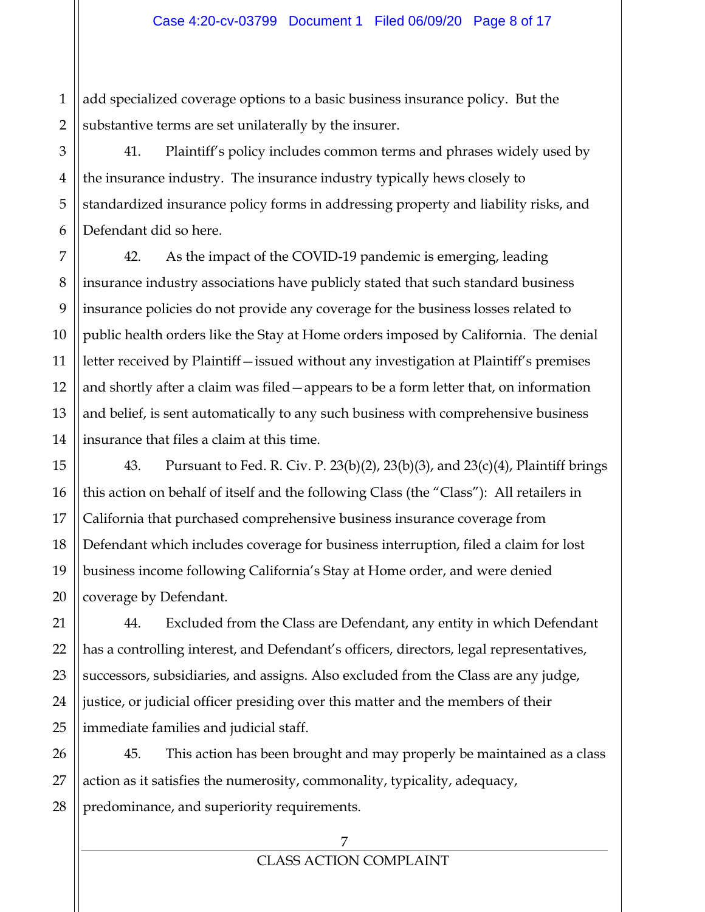1 add specialized coverage options to a basic business insurance policy. But the substantive terms are set unilaterally by the insurer.

41. Plaintiff's policy includes common terms and phrases widely used by the insurance industry. The insurance industry typically hews closely to standardized insurance policy forms in addressing property and liability risks, and Defendant did so here.

42. As the impact of the COVID-19 pandemic is emerging, leading insurance industry associations have publicly stated that such standard business insurance policies do not provide any coverage for the business losses related to public health orders like the Stay at Home orders imposed by California. The denial letter received by Plaintiff—issued without any investigation at Plaintiff's premises and shortly after a claim was filed—appears to be a form letter that, on information and belief, is sent automatically to any such business with comprehensive business insurance that files a claim at this time.

43. Pursuant to Fed. R. Civ. P. 23(b)(2), 23(b)(3), and 23(c)(4), Plaintiff brings this action on behalf of itself and the following Class (the "Class"): All retailers in California that purchased comprehensive business insurance coverage from Defendant which includes coverage for business interruption, filed a claim for lost business income following California's Stay at Home order, and were denied coverage by Defendant.

44. Excluded from the Class are Defendant, any entity in which Defendant has a controlling interest, and Defendant's officers, directors, legal representatives, successors, subsidiaries, and assigns. Also excluded from the Class are any judge, justice, or judicial officer presiding over this matter and the members of their immediate families and judicial staff.

45. This action has been brought and may properly be maintained as a class action as it satisfies the numerosity, commonality, typicality, adequacy, predominance, and superiority requirements.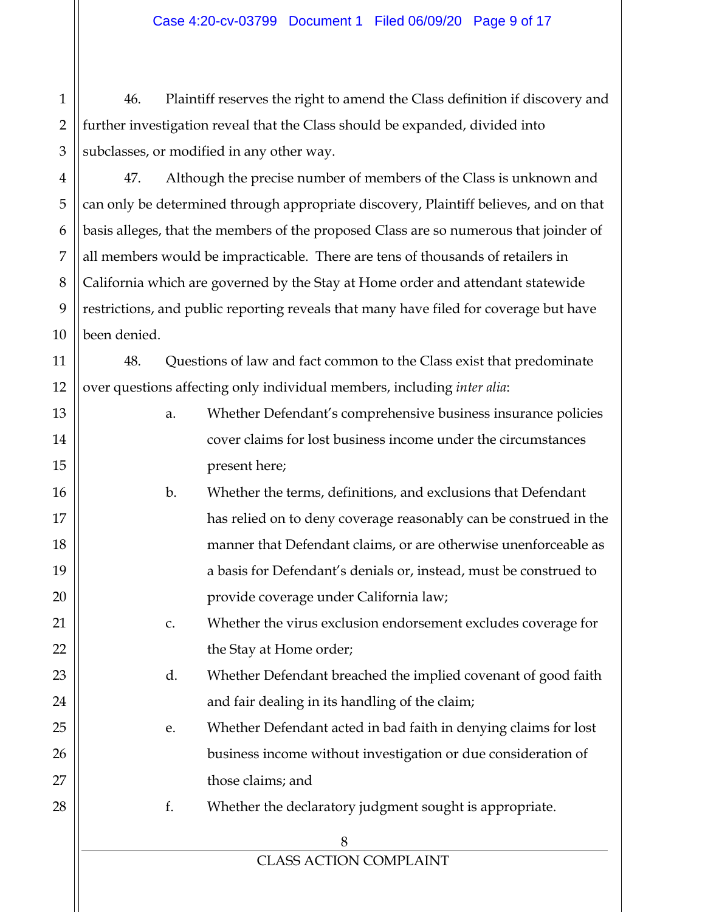1 2 3 46. Plaintiff reserves the right to amend the Class definition if discovery and further investigation reveal that the Class should be expanded, divided into subclasses, or modified in any other way.

4

5

6

7

8

9

10

11

13

14

15

16

17

18

19

20

21

22

23

24

25

26

27

28

47. Although the precise number of members of the Class is unknown and can only be determined through appropriate discovery, Plaintiff believes, and on that basis alleges, that the members of the proposed Class are so numerous that joinder of all members would be impracticable. There are tens of thousands of retailers in California which are governed by the Stay at Home order and attendant statewide restrictions, and public reporting reveals that many have filed for coverage but have been denied.

12 48. Questions of law and fact common to the Class exist that predominate over questions affecting only individual members, including *inter alia*:

- a. Whether Defendant's comprehensive business insurance policies cover claims for lost business income under the circumstances present here;
- b. Whether the terms, definitions, and exclusions that Defendant has relied on to deny coverage reasonably can be construed in the manner that Defendant claims, or are otherwise unenforceable as a basis for Defendant's denials or, instead, must be construed to provide coverage under California law;
	- c. Whether the virus exclusion endorsement excludes coverage for the Stay at Home order;
		- d. Whether Defendant breached the implied covenant of good faith and fair dealing in its handling of the claim;

e. Whether Defendant acted in bad faith in denying claims for lost business income without investigation or due consideration of those claims; and

f. Whether the declaratory judgment sought is appropriate.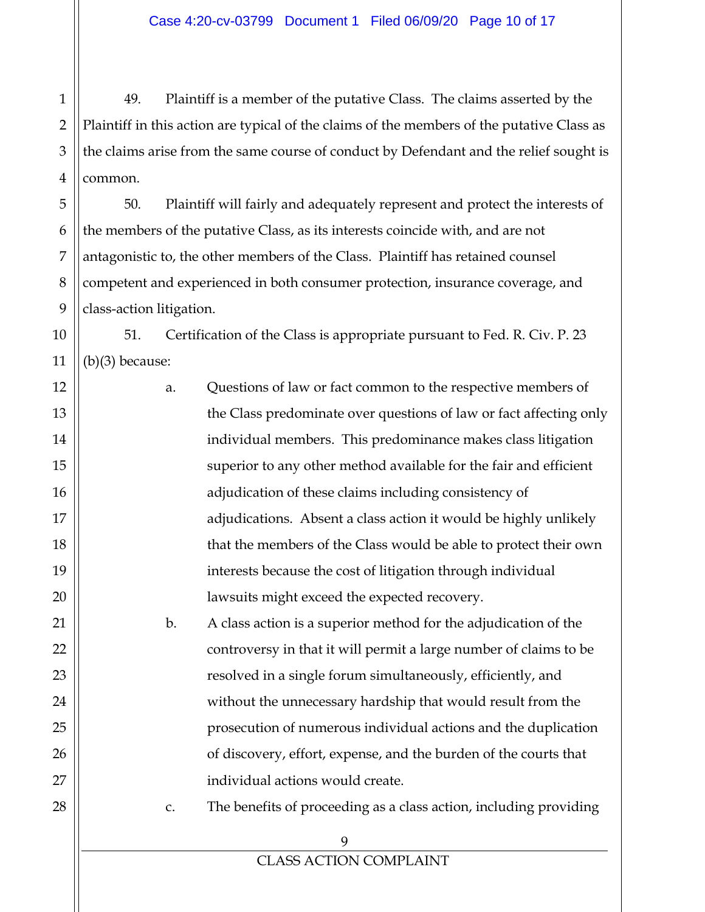1 2 3 49. Plaintiff is a member of the putative Class. The claims asserted by the Plaintiff in this action are typical of the claims of the members of the putative Class as the claims arise from the same course of conduct by Defendant and the relief sought is common.

50. Plaintiff will fairly and adequately represent and protect the interests of the members of the putative Class, as its interests coincide with, and are not antagonistic to, the other members of the Class. Plaintiff has retained counsel competent and experienced in both consumer protection, insurance coverage, and class-action litigation.

51. Certification of the Class is appropriate pursuant to Fed. R. Civ. P. 23 (b)(3) because:

> a. Questions of law or fact common to the respective members of the Class predominate over questions of law or fact affecting only individual members. This predominance makes class litigation superior to any other method available for the fair and efficient adjudication of these claims including consistency of adjudications. Absent a class action it would be highly unlikely that the members of the Class would be able to protect their own interests because the cost of litigation through individual lawsuits might exceed the expected recovery. b. A class action is a superior method for the adjudication of the

controversy in that it will permit a large number of claims to be resolved in a single forum simultaneously, efficiently, and without the unnecessary hardship that would result from the prosecution of numerous individual actions and the duplication of discovery, effort, expense, and the burden of the courts that individual actions would create.

c. The benefits of proceeding as a class action, including providing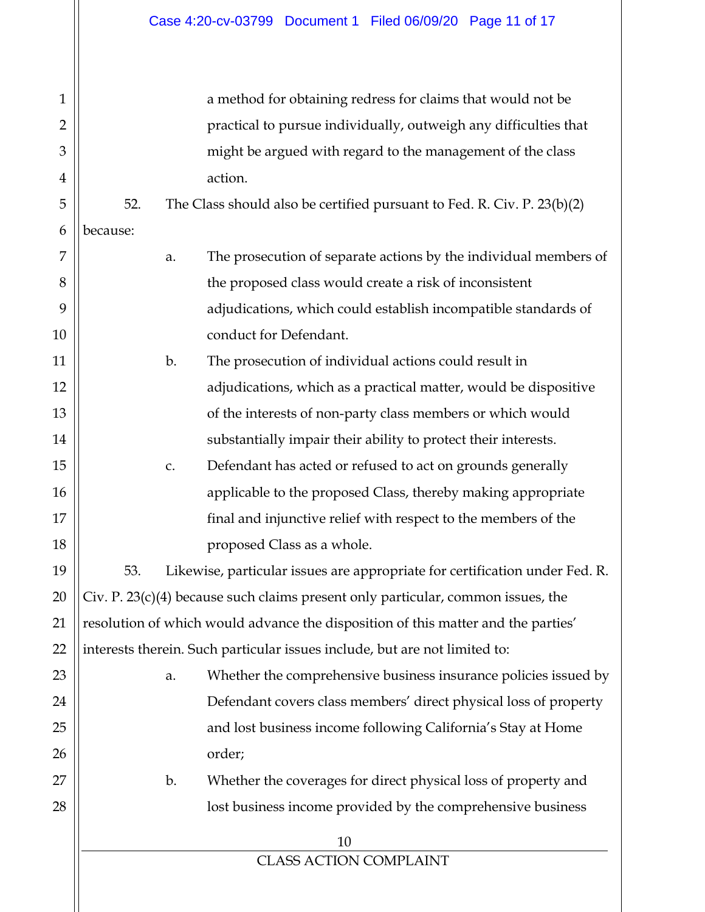| $\mathbf{1}$   |                                                                                    |    | a method for obtaining redress for claims that would not be                 |  |
|----------------|------------------------------------------------------------------------------------|----|-----------------------------------------------------------------------------|--|
| $\overline{2}$ |                                                                                    |    | practical to pursue individually, outweigh any difficulties that            |  |
| 3              |                                                                                    |    | might be argued with regard to the management of the class                  |  |
| 4              |                                                                                    |    | action.                                                                     |  |
| 5              | 52.                                                                                |    | The Class should also be certified pursuant to Fed. R. Civ. P. 23(b)(2)     |  |
| 6              | because:                                                                           |    |                                                                             |  |
| 7              |                                                                                    | a. | The prosecution of separate actions by the individual members of            |  |
| 8              |                                                                                    |    | the proposed class would create a risk of inconsistent                      |  |
| 9              |                                                                                    |    | adjudications, which could establish incompatible standards of              |  |
| 10             |                                                                                    |    | conduct for Defendant.                                                      |  |
| 11             |                                                                                    | b. | The prosecution of individual actions could result in                       |  |
| 12             |                                                                                    |    | adjudications, which as a practical matter, would be dispositive            |  |
| 13             |                                                                                    |    | of the interests of non-party class members or which would                  |  |
| 14             |                                                                                    |    | substantially impair their ability to protect their interests.              |  |
| 15             |                                                                                    | c. | Defendant has acted or refused to act on grounds generally                  |  |
| 16             |                                                                                    |    | applicable to the proposed Class, thereby making appropriate                |  |
| 17             |                                                                                    |    | final and injunctive relief with respect to the members of the              |  |
| 18             |                                                                                    |    | proposed Class as a whole.                                                  |  |
| 19             | 53.                                                                                |    | Likewise, particular issues are appropriate for certification under Fed. R. |  |
| 20             | Civ. P. $23(c)(4)$ because such claims present only particular, common issues, the |    |                                                                             |  |
| 21             | resolution of which would advance the disposition of this matter and the parties'  |    |                                                                             |  |
| 22             | interests therein. Such particular issues include, but are not limited to:         |    |                                                                             |  |
| 23             |                                                                                    | a. | Whether the comprehensive business insurance policies issued by             |  |
| 24             |                                                                                    |    | Defendant covers class members' direct physical loss of property            |  |
| 25             |                                                                                    |    | and lost business income following California's Stay at Home                |  |
| 26             |                                                                                    |    | order;                                                                      |  |
| 27             |                                                                                    | b. | Whether the coverages for direct physical loss of property and              |  |
| 28             |                                                                                    |    | lost business income provided by the comprehensive business                 |  |
|                |                                                                                    |    | 10                                                                          |  |
|                |                                                                                    |    | <b>CLASS ACTION COMPLAINT</b>                                               |  |
|                |                                                                                    |    |                                                                             |  |
|                |                                                                                    |    |                                                                             |  |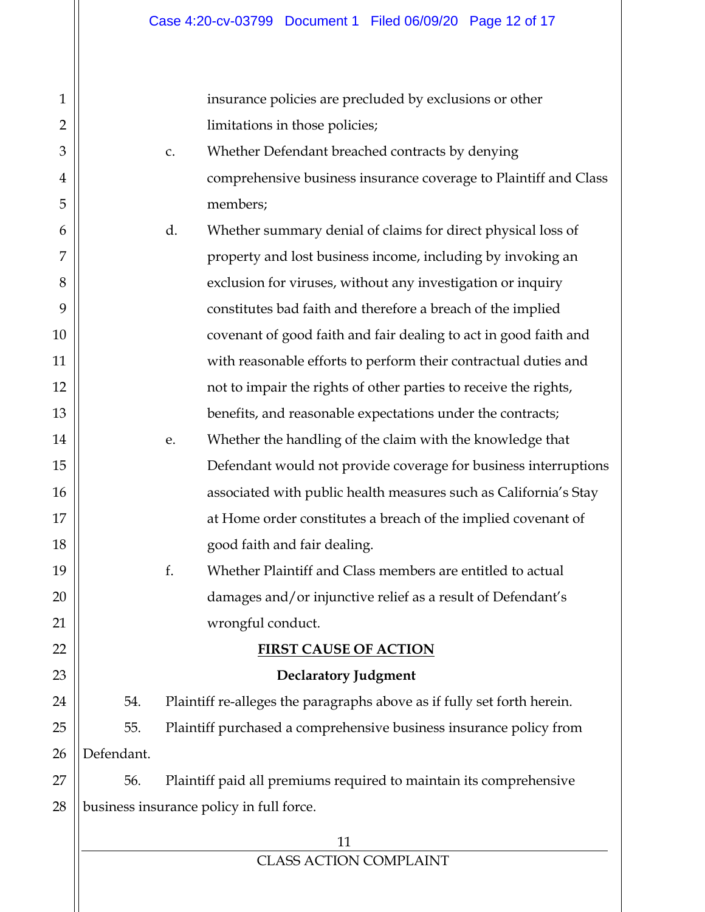insurance policies are precluded by exclusions or other limitations in those policies;

- c. Whether Defendant breached contracts by denying comprehensive business insurance coverage to Plaintiff and Class members;
- d. Whether summary denial of claims for direct physical loss of property and lost business income, including by invoking an exclusion for viruses, without any investigation or inquiry constitutes bad faith and therefore a breach of the implied covenant of good faith and fair dealing to act in good faith and with reasonable efforts to perform their contractual duties and not to impair the rights of other parties to receive the rights, benefits, and reasonable expectations under the contracts;
	- e. Whether the handling of the claim with the knowledge that Defendant would not provide coverage for business interruptions associated with public health measures such as California's Stay at Home order constitutes a breach of the implied covenant of good faith and fair dealing.
		- f. Whether Plaintiff and Class members are entitled to actual damages and/or injunctive relief as a result of Defendant's wrongful conduct.

# **FIRST CAUSE OF ACTION**

1

2

3

4

5

6

7

8

9

10

11

12

13

14

15

16

17

18

19

20

21

22

23

**Declaratory Judgment** 

24 25 26 54. Plaintiff re-alleges the paragraphs above as if fully set forth herein. 55. Plaintiff purchased a comprehensive business insurance policy from Defendant.

27 28 56. Plaintiff paid all premiums required to maintain its comprehensive business insurance policy in full force.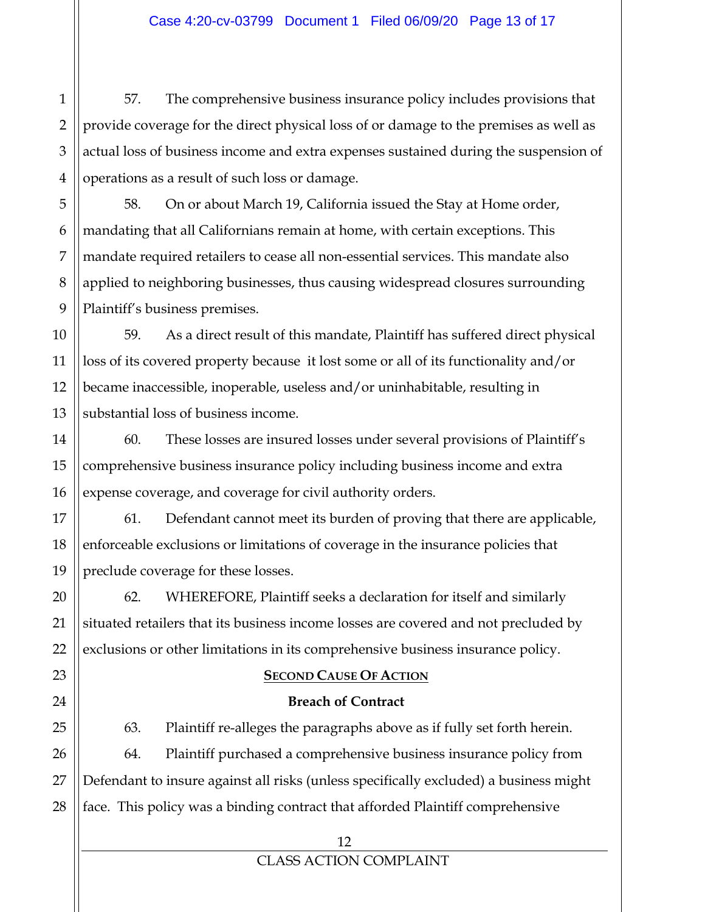57. The comprehensive business insurance policy includes provisions that provide coverage for the direct physical loss of or damage to the premises as well as actual loss of business income and extra expenses sustained during the suspension of operations as a result of such loss or damage.

58. On or about March 19, California issued the Stay at Home order, mandating that all Californians remain at home, with certain exceptions. This mandate required retailers to cease all non-essential services. This mandate also applied to neighboring businesses, thus causing widespread closures surrounding Plaintiff's business premises.

59. As a direct result of this mandate, Plaintiff has suffered direct physical loss of its covered property because it lost some or all of its functionality and/or became inaccessible, inoperable, useless and/or uninhabitable, resulting in substantial loss of business income.

60. These losses are insured losses under several provisions of Plaintiff's comprehensive business insurance policy including business income and extra expense coverage, and coverage for civil authority orders.

61. Defendant cannot meet its burden of proving that there are applicable, enforceable exclusions or limitations of coverage in the insurance policies that preclude coverage for these losses.

62. WHEREFORE, Plaintiff seeks a declaration for itself and similarly situated retailers that its business income losses are covered and not precluded by exclusions or other limitations in its comprehensive business insurance policy.

# **SECOND CAUSE OF ACTION**

## **Breach of Contract**

63. Plaintiff re-alleges the paragraphs above as if fully set forth herein. 64. Plaintiff purchased a comprehensive business insurance policy from Defendant to insure against all risks (unless specifically excluded) a business might face. This policy was a binding contract that afforded Plaintiff comprehensive

1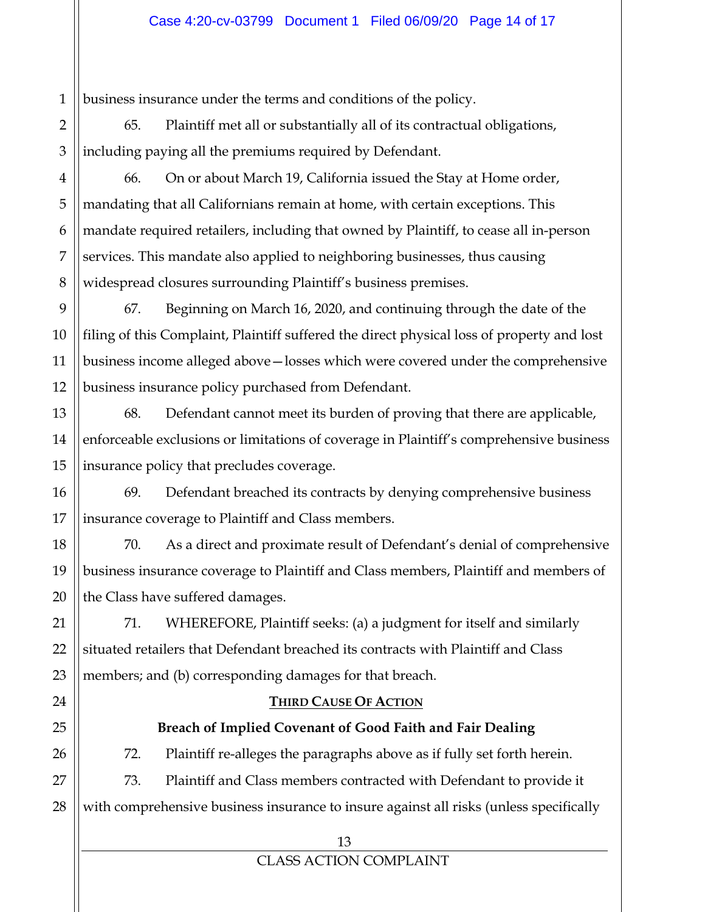1 business insurance under the terms and conditions of the policy.

65. Plaintiff met all or substantially all of its contractual obligations, including paying all the premiums required by Defendant.

66. On or about March 19, California issued the Stay at Home order, mandating that all Californians remain at home, with certain exceptions. This mandate required retailers, including that owned by Plaintiff, to cease all in-person services. This mandate also applied to neighboring businesses, thus causing widespread closures surrounding Plaintiff's business premises.

67. Beginning on March 16, 2020, and continuing through the date of the filing of this Complaint, Plaintiff suffered the direct physical loss of property and lost business income alleged above—losses which were covered under the comprehensive business insurance policy purchased from Defendant.

68. Defendant cannot meet its burden of proving that there are applicable, enforceable exclusions or limitations of coverage in Plaintiff's comprehensive business insurance policy that precludes coverage.

69. Defendant breached its contracts by denying comprehensive business insurance coverage to Plaintiff and Class members.

70. As a direct and proximate result of Defendant's denial of comprehensive business insurance coverage to Plaintiff and Class members, Plaintiff and members of the Class have suffered damages.

71. WHEREFORE, Plaintiff seeks: (a) a judgment for itself and similarly situated retailers that Defendant breached its contracts with Plaintiff and Class members; and (b) corresponding damages for that breach.

## **THIRD CAUSE OF ACTION**

# **Breach of Implied Covenant of Good Faith and Fair Dealing**

72. Plaintiff re-alleges the paragraphs above as if fully set forth herein.

73. Plaintiff and Class members contracted with Defendant to provide it with comprehensive business insurance to insure against all risks (unless specifically

2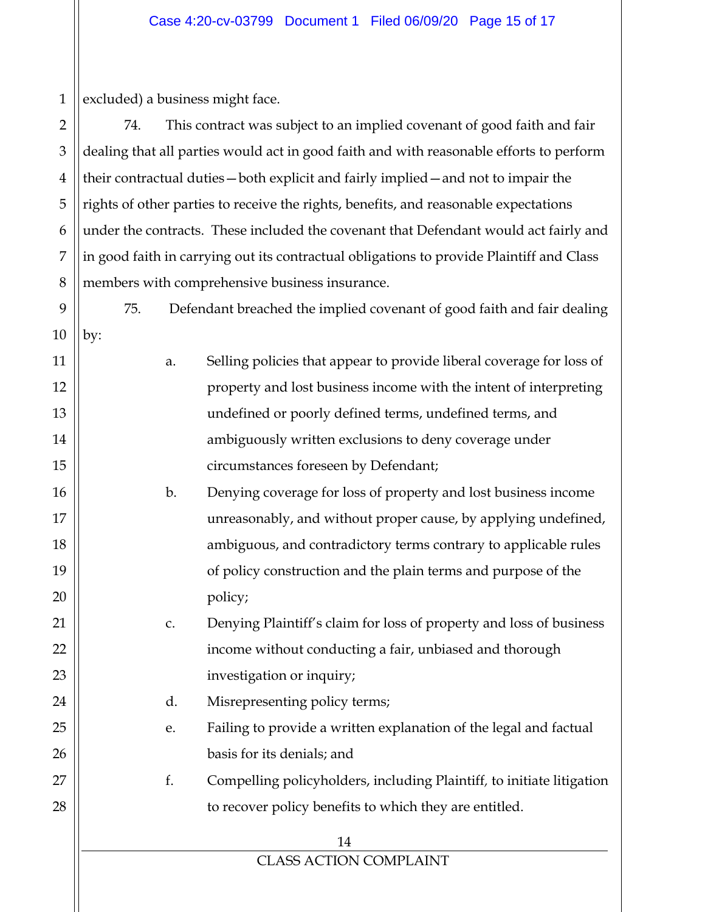1 excluded) a business might face.

2 3 4 5 6 7 8 74. This contract was subject to an implied covenant of good faith and fair dealing that all parties would act in good faith and with reasonable efforts to perform their contractual duties—both explicit and fairly implied—and not to impair the rights of other parties to receive the rights, benefits, and reasonable expectations under the contracts. These included the covenant that Defendant would act fairly and in good faith in carrying out its contractual obligations to provide Plaintiff and Class members with comprehensive business insurance.

9 10 by:

11

12

13

14

15

16

17

18

19

20

21

22

23

24

25

26

27

28

a. Selling policies that appear to provide liberal coverage for loss of property and lost business income with the intent of interpreting undefined or poorly defined terms, undefined terms, and ambiguously written exclusions to deny coverage under circumstances foreseen by Defendant;

75. Defendant breached the implied covenant of good faith and fair dealing

b. Denying coverage for loss of property and lost business income unreasonably, and without proper cause, by applying undefined, ambiguous, and contradictory terms contrary to applicable rules of policy construction and the plain terms and purpose of the policy;

c. Denying Plaintiff's claim for loss of property and loss of business income without conducting a fair, unbiased and thorough investigation or inquiry;

d. Misrepresenting policy terms;

e. Failing to provide a written explanation of the legal and factual basis for its denials; and

f. Compelling policyholders, including Plaintiff*,* to initiate litigation to recover policy benefits to which they are entitled.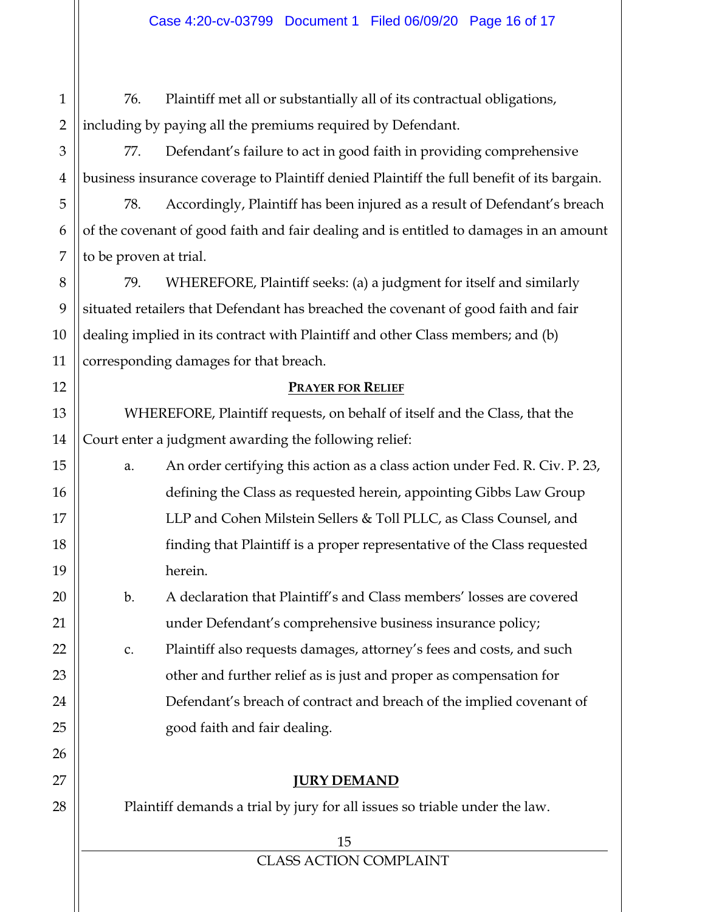76. Plaintiff met all or substantially all of its contractual obligations, including by paying all the premiums required by Defendant.

77. Defendant's failure to act in good faith in providing comprehensive business insurance coverage to Plaintiff denied Plaintiff the full benefit of its bargain.

78. Accordingly, Plaintiff has been injured as a result of Defendant's breach of the covenant of good faith and fair dealing and is entitled to damages in an amount to be proven at trial.

79. WHEREFORE, Plaintiff seeks: (a) a judgment for itself and similarly situated retailers that Defendant has breached the covenant of good faith and fair dealing implied in its contract with Plaintiff and other Class members; and (b) corresponding damages for that breach.

## **PRAYER FOR RELIEF**

WHEREFORE, Plaintiff requests, on behalf of itself and the Class, that the Court enter a judgment awarding the following relief:

a. An order certifying this action as a class action under Fed. R. Civ. P. 23, defining the Class as requested herein, appointing Gibbs Law Group LLP and Cohen Milstein Sellers & Toll PLLC, as Class Counsel, and finding that Plaintiff is a proper representative of the Class requested herein.

b. A declaration that Plaintiff's and Class members' losses are covered under Defendant's comprehensive business insurance policy;

c. Plaintiff also requests damages, attorney's fees and costs, and such other and further relief as is just and proper as compensation for Defendant's breach of contract and breach of the implied covenant of good faith and fair dealing.

# **JURY DEMAND**

Plaintiff demands a trial by jury for all issues so triable under the law.